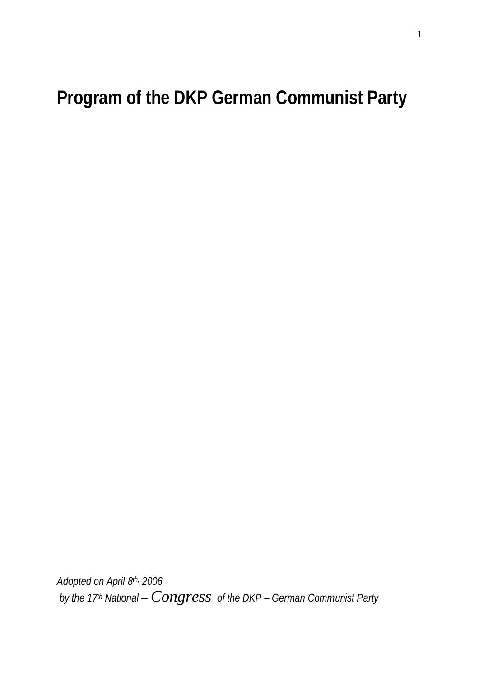**Program of the DKP German Communist Party**

*Adopted on April 8th, 2006 by the 17th National – Congress of the DKP – German Communist Party*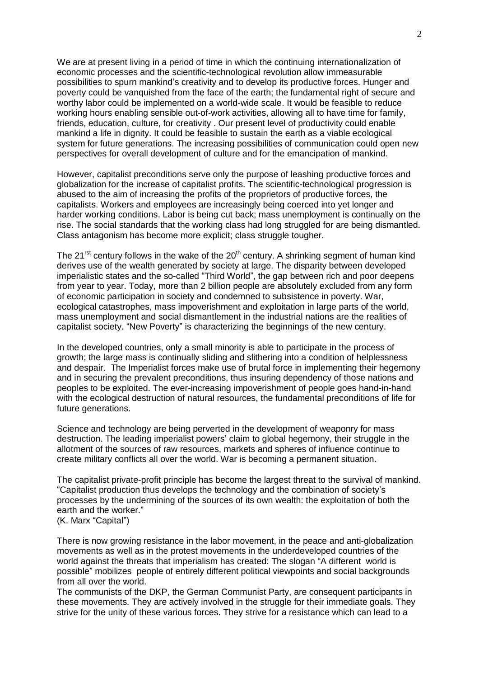We are at present living in a period of time in which the continuing internationalization of economic processes and the scientific-technological revolution allow immeasurable possibilities to spurn mankind's creativity and to develop its productive forces. Hunger and poverty could be vanquished from the face of the earth; the fundamental right of secure and worthy labor could be implemented on a world-wide scale. It would be feasible to reduce working hours enabling sensible out-of-work activities, allowing all to have time for family, friends, education, culture, for creativity . Our present level of productivity could enable mankind a life in dignity. It could be feasible to sustain the earth as a viable ecological system for future generations. The increasing possibilities of communication could open new perspectives for overall development of culture and for the emancipation of mankind.

However, capitalist preconditions serve only the purpose of leashing productive forces and globalization for the increase of capitalist profits. The scientific-technological progression is abused to the aim of increasing the profits of the proprietors of productive forces, the capitalists. Workers and employees are increasingly being coerced into yet longer and harder working conditions. Labor is being cut back; mass unemployment is continually on the rise. The social standards that the working class had long struggled for are being dismantled. Class antagonism has become more explicit; class struggle tougher.

The 21<sup>rst</sup> century follows in the wake of the 20<sup>th</sup> century. A shrinking segment of human kind derives use of the wealth generated by society at large. The disparity between developed imperialistic states and the so-called "Third World", the gap between rich and poor deepens from year to year. Today, more than 2 billion people are absolutely excluded from any form of economic participation in society and condemned to subsistence in poverty. War, ecological catastrophes, mass impoverishment and exploitation in large parts of the world, mass unemployment and social dismantlement in the industrial nations are the realities of capitalist society. "New Poverty" is characterizing the beginnings of the new century.

In the developed countries, only a small minority is able to participate in the process of growth; the large mass is continually sliding and slithering into a condition of helplessness and despair. The Imperialist forces make use of brutal force in implementing their hegemony and in securing the prevalent preconditions, thus insuring dependency of those nations and peoples to be exploited. The ever-increasing impoverishment of people goes hand-in-hand with the ecological destruction of natural resources, the fundamental preconditions of life for future generations.

Science and technology are being perverted in the development of weaponry for mass destruction. The leading imperialist powers' claim to global hegemony, their struggle in the allotment of the sources of raw resources, markets and spheres of influence continue to create military conflicts all over the world. War is becoming a permanent situation.

The capitalist private-profit principle has become the largest threat to the survival of mankind. "Capitalist production thus develops the technology and the combination of society's processes by the undermining of the sources of its own wealth: the exploitation of both the earth and the worker."

(K. Marx "Capital")

There is now growing resistance in the labor movement, in the peace and anti-globalization movements as well as in the protest movements in the underdeveloped countries of the world against the threats that imperialism has created: The slogan "A different world is possible´ mobilizes people of entirely different political viewpoints and social backgrounds from all over the world.

The communists of the DKP, the German Communist Party, are consequent participants in these movements. They are actively involved in the struggle for their immediate goals. They strive for the unity of these various forces. They strive for a resistance which can lead to a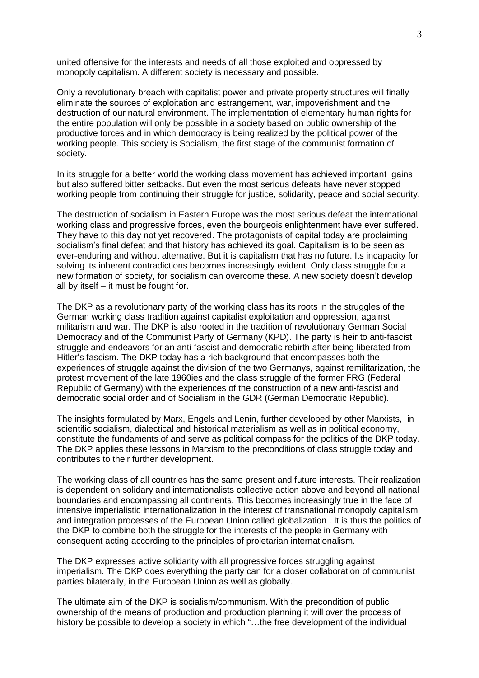united offensive for the interests and needs of all those exploited and oppressed by monopoly capitalism. A different society is necessary and possible.

Only a revolutionary breach with capitalist power and private property structures will finally eliminate the sources of exploitation and estrangement, war, impoverishment and the destruction of our natural environment. The implementation of elementary human rights for the entire population will only be possible in a society based on public ownership of the productive forces and in which democracy is being realized by the political power of the working people. This society is Socialism, the first stage of the communist formation of society.

In its struggle for a better world the working class movement has achieved important gains but also suffered bitter setbacks. But even the most serious defeats have never stopped working people from continuing their struggle for justice, solidarity, peace and social security.

The destruction of socialism in Eastern Europe was the most serious defeat the international working class and progressive forces, even the bourgeois enlightenment have ever suffered. They have to this day not yet recovered. The protagonists of capital today are proclaiming socialism's final defeat and that history has achieved its goal. Capitalism is to be seen as ever-enduring and without alternative. But it is capitalism that has no future. Its incapacity for solving its inherent contradictions becomes increasingly evident. Only class struggle for a new formation of society, for socialism can overcome these. A new society doesn't develop all by itself  $-$  it must be fought for.

The DKP as a revolutionary party of the working class has its roots in the struggles of the German working class tradition against capitalist exploitation and oppression, against militarism and war. The DKP is also rooted in the tradition of revolutionary German Social Democracy and of the Communist Party of Germany (KPD). The party is heir to anti-fascist struggle and endeavors for an anti-fascist and democratic rebirth after being liberated from Hitler's fascism. The DKP today has a rich background that encompasses both the experiences of struggle against the division of the two Germanys, against remilitarization, the protest movement of the late 1960ies and the class struggle of the former FRG (Federal Republic of Germany) with the experiences of the construction of a new anti-fascist and democratic social order and of Socialism in the GDR (German Democratic Republic).

The insights formulated by Marx, Engels and Lenin, further developed by other Marxists, in scientific socialism, dialectical and historical materialism as well as in political economy, constitute the fundaments of and serve as political compass for the politics of the DKP today. The DKP applies these lessons in Marxism to the preconditions of class struggle today and contributes to their further development.

The working class of all countries has the same present and future interests. Their realization is dependent on solidary and internationalists collective action above and beyond all national boundaries and encompassing all continents. This becomes increasingly true in the face of intensive imperialistic internationalization in the interest of transnational monopoly capitalism and integration processes of the European Union called globalization . It is thus the politics of the DKP to combine both the struggle for the interests of the people in Germany with consequent acting according to the principles of proletarian internationalism.

The DKP expresses active solidarity with all progressive forces struggling against imperialism. The DKP does everything the party can for a closer collaboration of communist parties bilaterally, in the European Union as well as globally.

The ultimate aim of the DKP is socialism/communism. With the precondition of public ownership of the means of production and production planning it will over the process of history be possible to develop a society in which "...the free development of the individual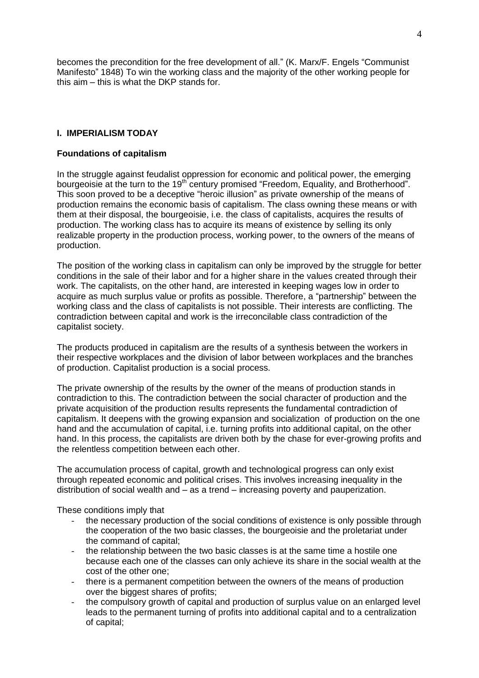becomes the precondition for the free development of all." (K. Marx/F. Engels "Communist Manifesto" 1848) To win the working class and the majority of the other working people for this  $\sin -$  this is what the DKP stands for.

## **I. IMPERIALISM TODAY**

### **Foundations of capitalism**

In the struggle against feudalist oppression for economic and political power, the emerging bourgeoisie at the turn to the 19<sup>th</sup> century promised "Freedom, Equality, and Brotherhood". This soon proved to be a deceptive "heroic illusion" as private ownership of the means of production remains the economic basis of capitalism. The class owning these means or with them at their disposal, the bourgeoisie, i.e. the class of capitalists, acquires the results of production. The working class has to acquire its means of existence by selling its only realizable property in the production process, working power, to the owners of the means of production.

The position of the working class in capitalism can only be improved by the struggle for better conditions in the sale of their labor and for a higher share in the values created through their work. The capitalists, on the other hand, are interested in keeping wages low in order to acquire as much surplus value or profits as possible. Therefore, a "partnership" between the working class and the class of capitalists is not possible. Their interests are conflicting. The contradiction between capital and work is the irreconcilable class contradiction of the capitalist society.

The products produced in capitalism are the results of a synthesis between the workers in their respective workplaces and the division of labor between workplaces and the branches of production. Capitalist production is a social process.

The private ownership of the results by the owner of the means of production stands in contradiction to this. The contradiction between the social character of production and the private acquisition of the production results represents the fundamental contradiction of capitalism. It deepens with the growing expansion and socialization of production on the one hand and the accumulation of capital, i.e. turning profits into additional capital, on the other hand. In this process, the capitalists are driven both by the chase for ever-growing profits and the relentless competition between each other.

The accumulation process of capital, growth and technological progress can only exist through repeated economic and political crises. This involves increasing inequality in the distribution of social wealth and  $-$  as a trend  $-$  increasing poverty and pauperization.

These conditions imply that

- the necessary production of the social conditions of existence is only possible through the cooperation of the two basic classes, the bourgeoisie and the proletariat under the command of capital;
- the relationship between the two basic classes is at the same time a hostile one because each one of the classes can only achieve its share in the social wealth at the cost of the other one;
- there is a permanent competition between the owners of the means of production over the biggest shares of profits;
- the compulsory growth of capital and production of surplus value on an enlarged level leads to the permanent turning of profits into additional capital and to a centralization of capital;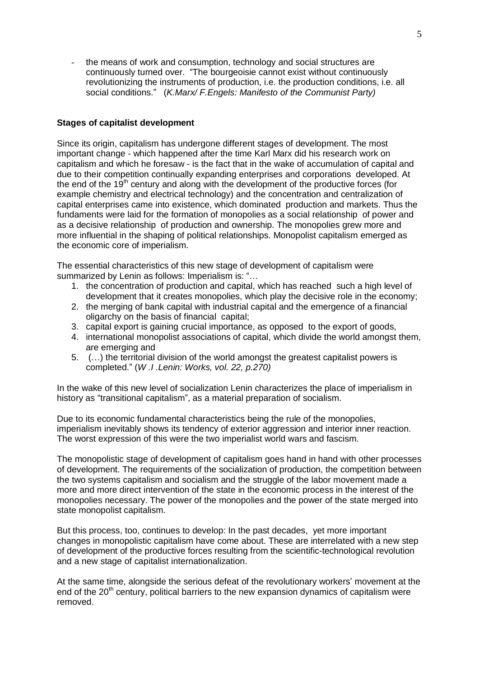the means of work and consumption, technology and social structures are continuously turned over. "The bourgeoisie cannot exist without continuously revolutionizing the instruments of production, i.e. the production conditions, i.e. all social conditions.´ (*K.Marx/ F.Engels: Manifesto of the Communist Party)*

### **Stages of capitalist development**

Since its origin, capitalism has undergone different stages of development. The most important change - which happened after the time Karl Marx did his research work on capitalism and which he foresaw - is the fact that in the wake of accumulation of capital and due to their competition continually expanding enterprises and corporations developed. At the end of the  $19<sup>th</sup>$  century and along with the development of the productive forces (for example chemistry and electrical technology) and the concentration and centralization of capital enterprises came into existence, which dominated production and markets. Thus the fundaments were laid for the formation of monopolies as a social relationship of power and as a decisive relationship of production and ownership. The monopolies grew more and more influential in the shaping of political relationships. Monopolist capitalism emerged as the economic core of imperialism.

The essential characteristics of this new stage of development of capitalism were summarized by Lenin as follows: Imperialism is: "...

- 1. the concentration of production and capital, which has reached such a high level of development that it creates monopolies, which play the decisive role in the economy;
- 2. the merging of bank capital with industrial capital and the emergence of a financial oligarchy on the basis of financial capital;
- 3. capital export is gaining crucial importance, as opposed to the export of goods,
- 4. international monopolist associations of capital, which divide the world amongst them, are emerging and
- 5. (...) the territorial division of the world amongst the greatest capitalist powers is completed.´ (*W .I .Lenin: Works, vol. 22, p.270)*

In the wake of this new level of socialization Lenin characterizes the place of imperialism in history as "transitional capitalism", as a material preparation of socialism.

Due to its economic fundamental characteristics being the rule of the monopolies, imperialism inevitably shows its tendency of exterior aggression and interior inner reaction. The worst expression of this were the two imperialist world wars and fascism.

The monopolistic stage of development of capitalism goes hand in hand with other processes of development. The requirements of the socialization of production, the competition between the two systems capitalism and socialism and the struggle of the labor movement made a more and more direct intervention of the state in the economic process in the interest of the monopolies necessary. The power of the monopolies and the power of the state merged into state monopolist capitalism.

But this process, too, continues to develop: In the past decades, yet more important changes in monopolistic capitalism have come about. These are interrelated with a new step of development of the productive forces resulting from the scientific-technological revolution and a new stage of capitalist internationalization.

At the same time, alongside the serious defeat of the revolutionary workers' movement at the end of the 20<sup>th</sup> century, political barriers to the new expansion dynamics of capitalism were removed.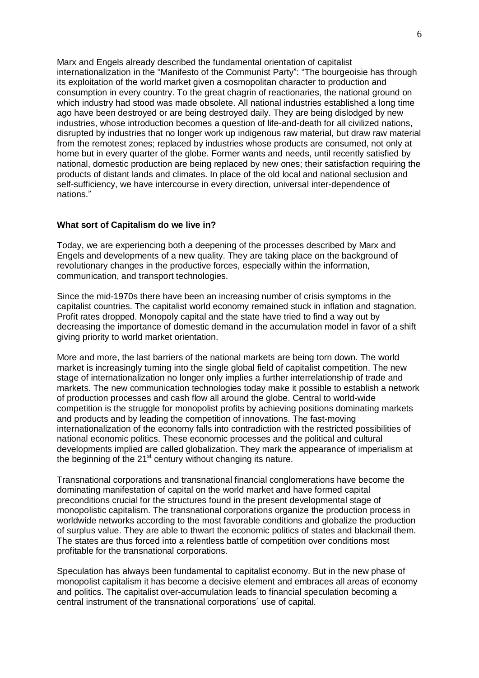Marx and Engels already described the fundamental orientation of capitalist internationalization in the "Manifesto of the Communist Party": "The bourgeoisie has through its exploitation of the world market given a cosmopolitan character to production and consumption in every country. To the great chagrin of reactionaries, the national ground on which industry had stood was made obsolete. All national industries established a long time ago have been destroyed or are being destroyed daily. They are being dislodged by new industries, whose introduction becomes a question of life-and-death for all civilized nations, disrupted by industries that no longer work up indigenous raw material, but draw raw material from the remotest zones; replaced by industries whose products are consumed, not only at home but in every quarter of the globe. Former wants and needs, until recently satisfied by national, domestic production are being replaced by new ones; their satisfaction requiring the products of distant lands and climates. In place of the old local and national seclusion and self-sufficiency, we have intercourse in every direction, universal inter-dependence of nations.´

### **What sort of Capitalism do we live in?**

Today, we are experiencing both a deepening of the processes described by Marx and Engels and developments of a new quality. They are taking place on the background of revolutionary changes in the productive forces, especially within the information, communication, and transport technologies.

Since the mid-1970s there have been an increasing number of crisis symptoms in the capitalist countries. The capitalist world economy remained stuck in inflation and stagnation. Profit rates dropped. Monopoly capital and the state have tried to find a way out by decreasing the importance of domestic demand in the accumulation model in favor of a shift giving priority to world market orientation.

More and more, the last barriers of the national markets are being torn down. The world market is increasingly turning into the single global field of capitalist competition. The new stage of internationalization no longer only implies a further interrelationship of trade and markets. The new communication technologies today make it possible to establish a network of production processes and cash flow all around the globe. Central to world-wide competition is the struggle for monopolist profits by achieving positions dominating markets and products and by leading the competition of innovations. The fast-moving internationalization of the economy falls into contradiction with the restricted possibilities of national economic politics. These economic processes and the political and cultural developments implied are called globalization. They mark the appearance of imperialism at the beginning of the 21<sup>st</sup> century without changing its nature.

Transnational corporations and transnational financial conglomerations have become the dominating manifestation of capital on the world market and have formed capital preconditions crucial for the structures found in the present developmental stage of monopolistic capitalism. The transnational corporations organize the production process in worldwide networks according to the most favorable conditions and globalize the production of surplus value. They are able to thwart the economic politics of states and blackmail them. The states are thus forced into a relentless battle of competition over conditions most profitable for the transnational corporations.

Speculation has always been fundamental to capitalist economy. But in the new phase of monopolist capitalism it has become a decisive element and embraces all areas of economy and politics. The capitalist over-accumulation leads to financial speculation becoming a central instrument of the transnational corporations´ use of capital.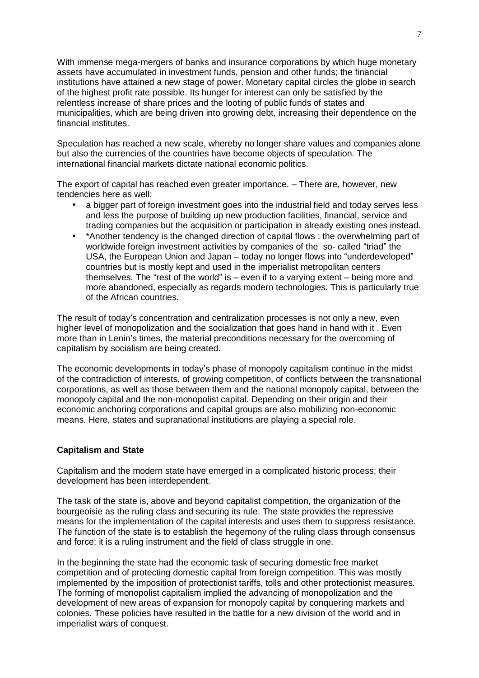With immense mega-mergers of banks and insurance corporations by which huge monetary assets have accumulated in investment funds, pension and other funds; the financial institutions have attained a new stage of power. Monetary capital circles the globe in search of the highest profit rate possible. Its hunger for interest can only be satisfied by the relentless increase of share prices and the looting of public funds of states and municipalities, which are being driven into growing debt, increasing their dependence on the financial institutes.

Speculation has reached a new scale, whereby no longer share values and companies alone but also the currencies of the countries have become objects of speculation. The international financial markets dictate national economic politics.

The export of capital has reached even greater importance. - There are, however, new tendencies here as well:

- a bigger part of foreign investment goes into the industrial field and today serves less and less the purpose of building up new production facilities, financial, service and trading companies but the acquisition or participation in already existing ones instead.
- \*Another tendency is the changed direction of capital flows : the overwhelming part of worldwide foreign investment activities by companies of the so-called "triad" the USA, the European Union and Japan - today no longer flows into "underdeveloped" countries but is mostly kept and used in the imperialist metropolitan centers themselves. The "rest of the world" is  $-$  even if to a varying extent  $-$  being more and more abandoned, especially as regards modern technologies. This is particularly true of the African countries.

The result of today's concentration and centralization processes is not only a new, even higher level of monopolization and the socialization that goes hand in hand with it . Even more than in Lenin's times, the material preconditions necessary for the overcoming of capitalism by socialism are being created.

The economic developments in today's phase of monopoly capitalism continue in the midst of the contradiction of interests, of growing competition, of conflicts between the transnational corporations, as well as those between them and the national monopoly capital, between the monopoly capital and the non-monopolist capital. Depending on their origin and their economic anchoring corporations and capital groups are also mobilizing non-economic means. Here, states and supranational institutions are playing a special role.

### **Capitalism and State**

Capitalism and the modern state have emerged in a complicated historic process; their development has been interdependent.

The task of the state is, above and beyond capitalist competition, the organization of the bourgeoisie as the ruling class and securing its rule. The state provides the repressive means for the implementation of the capital interests and uses them to suppress resistance. The function of the state is to establish the hegemony of the ruling class through consensus and force; it is a ruling instrument and the field of class struggle in one.

In the beginning the state had the economic task of securing domestic free market competition and of protecting domestic capital from foreign competition. This was mostly implemented by the imposition of protectionist tariffs, tolls and other protectionist measures. The forming of monopolist capitalism implied the advancing of monopolization and the development of new areas of expansion for monopoly capital by conquering markets and colonies. These policies have resulted in the battle for a new division of the world and in imperialist wars of conquest.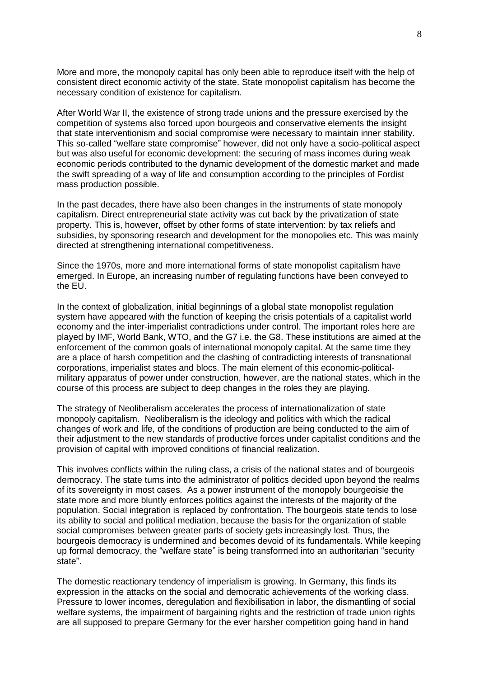More and more, the monopoly capital has only been able to reproduce itself with the help of consistent direct economic activity of the state. State monopolist capitalism has become the necessary condition of existence for capitalism.

After World War II, the existence of strong trade unions and the pressure exercised by the competition of systems also forced upon bourgeois and conservative elements the insight that state interventionism and social compromise were necessary to maintain inner stability. This so-called "welfare state compromise" however, did not only have a socio-political aspect but was also useful for economic development: the securing of mass incomes during weak economic periods contributed to the dynamic development of the domestic market and made the swift spreading of a way of life and consumption according to the principles of Fordist mass production possible.

In the past decades, there have also been changes in the instruments of state monopoly capitalism. Direct entrepreneurial state activity was cut back by the privatization of state property. This is, however, offset by other forms of state intervention: by tax reliefs and subsidies, by sponsoring research and development for the monopolies etc. This was mainly directed at strengthening international competitiveness.

Since the 1970s, more and more international forms of state monopolist capitalism have emerged. In Europe, an increasing number of regulating functions have been conveyed to the EU.

In the context of globalization, initial beginnings of a global state monopolist regulation system have appeared with the function of keeping the crisis potentials of a capitalist world economy and the inter-imperialist contradictions under control. The important roles here are played by IMF, World Bank, WTO, and the G7 i.e. the G8. These institutions are aimed at the enforcement of the common goals of international monopoly capital. At the same time they are a place of harsh competition and the clashing of contradicting interests of transnational corporations, imperialist states and blocs. The main element of this economic-politicalmilitary apparatus of power under construction, however, are the national states, which in the course of this process are subject to deep changes in the roles they are playing.

The strategy of Neoliberalism accelerates the process of internationalization of state monopoly capitalism. Neoliberalism is the ideology and politics with which the radical changes of work and life, of the conditions of production are being conducted to the aim of their adjustment to the new standards of productive forces under capitalist conditions and the provision of capital with improved conditions of financial realization.

This involves conflicts within the ruling class, a crisis of the national states and of bourgeois democracy. The state turns into the administrator of politics decided upon beyond the realms of its sovereignty in most cases. As a power instrument of the monopoly bourgeoisie the state more and more bluntly enforces politics against the interests of the majority of the population. Social integration is replaced by confrontation. The bourgeois state tends to lose its ability to social and political mediation, because the basis for the organization of stable social compromises between greater parts of society gets increasingly lost. Thus, the bourgeois democracy is undermined and becomes devoid of its fundamentals. While keeping up formal democracy, the "welfare state" is being transformed into an authoritarian "security state<sup>"</sup>

The domestic reactionary tendency of imperialism is growing. In Germany, this finds its expression in the attacks on the social and democratic achievements of the working class. Pressure to lower incomes, deregulation and flexibilisation in labor, the dismantling of social welfare systems, the impairment of bargaining rights and the restriction of trade union rights are all supposed to prepare Germany for the ever harsher competition going hand in hand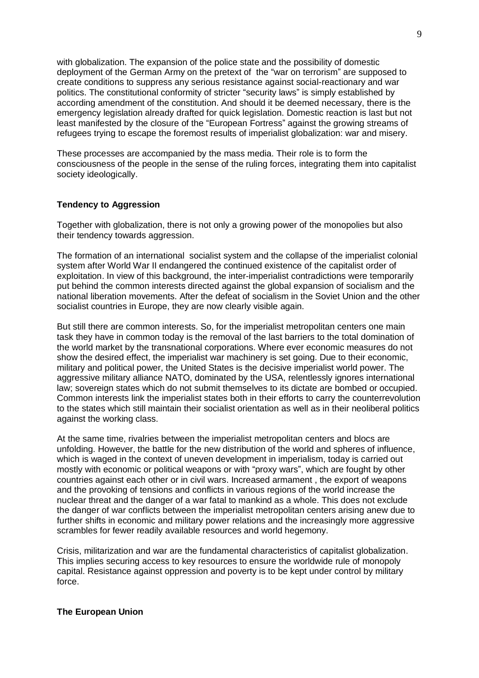with globalization. The expansion of the police state and the possibility of domestic deployment of the German Army on the pretext of the "war on terrorism" are supposed to create conditions to suppress any serious resistance against social-reactionary and war politics. The constitutional conformity of stricter "security laws" is simply established by according amendment of the constitution. And should it be deemed necessary, there is the emergency legislation already drafted for quick legislation. Domestic reaction is last but not least manifested by the closure of the "European Fortress" against the growing streams of refugees trying to escape the foremost results of imperialist globalization: war and misery.

These processes are accompanied by the mass media. Their role is to form the consciousness of the people in the sense of the ruling forces, integrating them into capitalist society ideologically.

### **Tendency to Aggression**

Together with globalization, there is not only a growing power of the monopolies but also their tendency towards aggression.

The formation of an international socialist system and the collapse of the imperialist colonial system after World War II endangered the continued existence of the capitalist order of exploitation. In view of this background, the inter-imperialist contradictions were temporarily put behind the common interests directed against the global expansion of socialism and the national liberation movements. After the defeat of socialism in the Soviet Union and the other socialist countries in Europe, they are now clearly visible again.

But still there are common interests. So, for the imperialist metropolitan centers one main task they have in common today is the removal of the last barriers to the total domination of the world market by the transnational corporations. Where ever economic measures do not show the desired effect, the imperialist war machinery is set going. Due to their economic, military and political power, the United States is the decisive imperialist world power. The aggressive military alliance NATO, dominated by the USA, relentlessly ignores international law; sovereign states which do not submit themselves to its dictate are bombed or occupied. Common interests link the imperialist states both in their efforts to carry the counterrevolution to the states which still maintain their socialist orientation as well as in their neoliberal politics against the working class.

At the same time, rivalries between the imperialist metropolitan centers and blocs are unfolding. However, the battle for the new distribution of the world and spheres of influence, which is waged in the context of uneven development in imperialism, today is carried out mostly with economic or political weapons or with "proxy wars", which are fought by other countries against each other or in civil wars. Increased armament , the export of weapons and the provoking of tensions and conflicts in various regions of the world increase the nuclear threat and the danger of a war fatal to mankind as a whole. This does not exclude the danger of war conflicts between the imperialist metropolitan centers arising anew due to further shifts in economic and military power relations and the increasingly more aggressive scrambles for fewer readily available resources and world hegemony.

Crisis, militarization and war are the fundamental characteristics of capitalist globalization. This implies securing access to key resources to ensure the worldwide rule of monopoly capital. Resistance against oppression and poverty is to be kept under control by military force.

### **The European Union**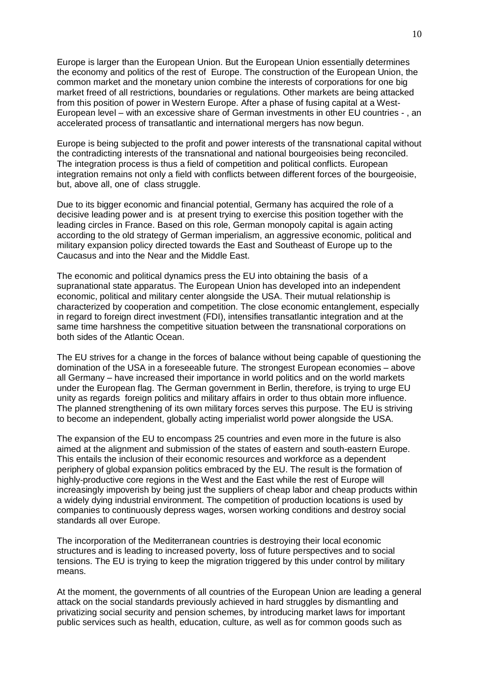Europe is larger than the European Union. But the European Union essentially determines the economy and politics of the rest of Europe. The construction of the European Union, the common market and the monetary union combine the interests of corporations for one big market freed of all restrictions, boundaries or regulations. Other markets are being attacked from this position of power in Western Europe. After a phase of fusing capital at a West-European level – with an excessive share of German investments in other EU countries - , an accelerated process of transatlantic and international mergers has now begun.

Europe is being subjected to the profit and power interests of the transnational capital without the contradicting interests of the transnational and national bourgeoisies being reconciled. The integration process is thus a field of competition and political conflicts. European integration remains not only a field with conflicts between different forces of the bourgeoisie, but, above all, one of class struggle.

Due to its bigger economic and financial potential, Germany has acquired the role of a decisive leading power and is at present trying to exercise this position together with the leading circles in France. Based on this role, German monopoly capital is again acting according to the old strategy of German imperialism, an aggressive economic, political and military expansion policy directed towards the East and Southeast of Europe up to the Caucasus and into the Near and the Middle East.

The economic and political dynamics press the EU into obtaining the basis of a supranational state apparatus. The European Union has developed into an independent economic, political and military center alongside the USA. Their mutual relationship is characterized by cooperation and competition. The close economic entanglement, especially in regard to foreign direct investment (FDI), intensifies transatlantic integration and at the same time harshness the competitive situation between the transnational corporations on both sides of the Atlantic Ocean.

The EU strives for a change in the forces of balance without being capable of questioning the domination of the USA in a foreseeable future. The strongest European economies – above all Germany – have increased their importance in world politics and on the world markets under the European flag. The German government in Berlin, therefore, is trying to urge EU unity as regards foreign politics and military affairs in order to thus obtain more influence. The planned strengthening of its own military forces serves this purpose. The EU is striving to become an independent, globally acting imperialist world power alongside the USA.

The expansion of the EU to encompass 25 countries and even more in the future is also aimed at the alignment and submission of the states of eastern and south-eastern Europe. This entails the inclusion of their economic resources and workforce as a dependent periphery of global expansion politics embraced by the EU. The result is the formation of highly-productive core regions in the West and the East while the rest of Europe will increasingly impoverish by being just the suppliers of cheap labor and cheap products within a widely dying industrial environment. The competition of production locations is used by companies to continuously depress wages, worsen working conditions and destroy social standards all over Europe.

The incorporation of the Mediterranean countries is destroying their local economic structures and is leading to increased poverty, loss of future perspectives and to social tensions. The EU is trying to keep the migration triggered by this under control by military means.

At the moment, the governments of all countries of the European Union are leading a general attack on the social standards previously achieved in hard struggles by dismantling and privatizing social security and pension schemes, by introducing market laws for important public services such as health, education, culture, as well as for common goods such as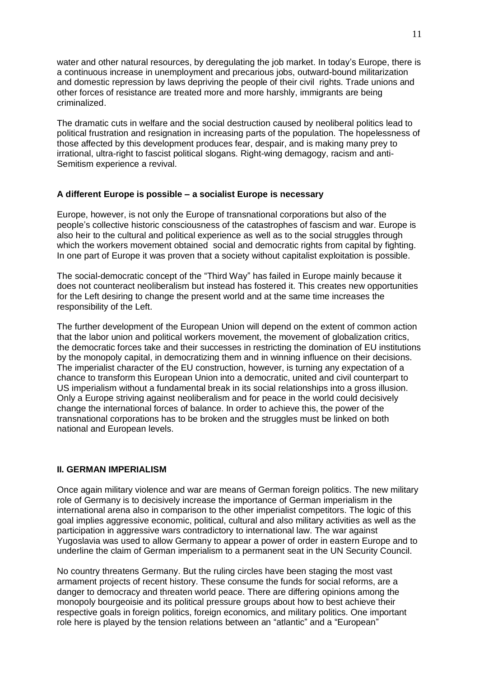water and other natural resources, by deregulating the job market. In today's Europe, there is a continuous increase in unemployment and precarious jobs, outward-bound militarization and domestic repression by laws depriving the people of their civil rights. Trade unions and other forces of resistance are treated more and more harshly, immigrants are being criminalized.

The dramatic cuts in welfare and the social destruction caused by neoliberal politics lead to political frustration and resignation in increasing parts of the population. The hopelessness of those affected by this development produces fear, despair, and is making many prey to irrational, ultra-right to fascist political slogans. Right-wing demagogy, racism and anti-Semitism experience a revival.

## **A different Europe is possible ± a socialist Europe is necessary**

Europe, however, is not only the Europe of transnational corporations but also of the people's collective historic consciousness of the catastrophes of fascism and war. Europe is also heir to the cultural and political experience as well as to the social struggles through which the workers movement obtained social and democratic rights from capital by fighting. In one part of Europe it was proven that a society without capitalist exploitation is possible.

The social-democratic concept of the "Third Way" has failed in Europe mainly because it does not counteract neoliberalism but instead has fostered it. This creates new opportunities for the Left desiring to change the present world and at the same time increases the responsibility of the Left.

The further development of the European Union will depend on the extent of common action that the labor union and political workers movement, the movement of globalization critics, the democratic forces take and their successes in restricting the domination of EU institutions by the monopoly capital, in democratizing them and in winning influence on their decisions. The imperialist character of the EU construction, however, is turning any expectation of a chance to transform this European Union into a democratic, united and civil counterpart to US imperialism without a fundamental break in its social relationships into a gross illusion. Only a Europe striving against neoliberalism and for peace in the world could decisively change the international forces of balance. In order to achieve this, the power of the transnational corporations has to be broken and the struggles must be linked on both national and European levels.

## **II. GERMAN IMPERIALISM**

Once again military violence and war are means of German foreign politics. The new military role of Germany is to decisively increase the importance of German imperialism in the international arena also in comparison to the other imperialist competitors. The logic of this goal implies aggressive economic, political, cultural and also military activities as well as the participation in aggressive wars contradictory to international law. The war against Yugoslavia was used to allow Germany to appear a power of order in eastern Europe and to underline the claim of German imperialism to a permanent seat in the UN Security Council.

No country threatens Germany. But the ruling circles have been staging the most vast armament projects of recent history. These consume the funds for social reforms, are a danger to democracy and threaten world peace. There are differing opinions among the monopoly bourgeoisie and its political pressure groups about how to best achieve their respective goals in foreign politics, foreign economics, and military politics. One important role here is played by the tension relations between an "atlantic" and a "European"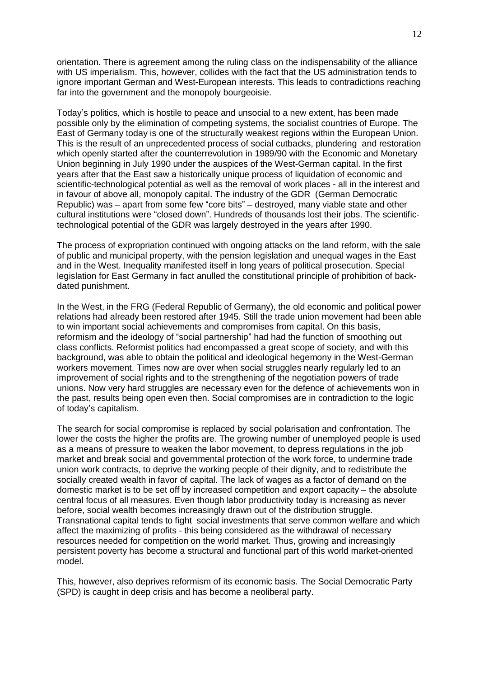orientation. There is agreement among the ruling class on the indispensability of the alliance with US imperialism. This, however, collides with the fact that the US administration tends to ignore important German and West-European interests. This leads to contradictions reaching far into the government and the monopoly bourgeoisie.

Today's politics, which is hostile to peace and unsocial to a new extent, has been made possible only by the elimination of competing systems, the socialist countries of Europe. The East of Germany today is one of the structurally weakest regions within the European Union. This is the result of an unprecedented process of social cutbacks, plundering and restoration which openly started after the counterrevolution in 1989/90 with the Economic and Monetary Union beginning in July 1990 under the auspices of the West-German capital. In the first years after that the East saw a historically unique process of liquidation of economic and scientific-technological potential as well as the removal of work places - all in the interest and in favour of above all, monopoly capital. The industry of the GDR (German Democratic Republic) was - apart from some few "core bits" - destroyed, many viable state and other cultural institutions were "closed down". Hundreds of thousands lost their jobs. The scientifictechnological potential of the GDR was largely destroyed in the years after 1990.

The process of expropriation continued with ongoing attacks on the land reform, with the sale of public and municipal property, with the pension legislation and unequal wages in the East and in the West. Inequality manifested itself in long years of political prosecution. Special legislation for East Germany in fact anulled the constitutional principle of prohibition of backdated punishment.

In the West, in the FRG (Federal Republic of Germany), the old economic and political power relations had already been restored after 1945. Still the trade union movement had been able to win important social achievements and compromises from capital. On this basis, reformism and the ideology of "social partnership" had had the function of smoothing out class conflicts. Reformist politics had encompassed a great scope of society, and with this background, was able to obtain the political and ideological hegemony in the West-German workers movement. Times now are over when social struggles nearly regularly led to an improvement of social rights and to the strengthening of the negotiation powers of trade unions. Now very hard struggles are necessary even for the defence of achievements won in the past, results being open even then. Social compromises are in contradiction to the logic of today's capitalism.

The search for social compromise is replaced by social polarisation and confrontation. The lower the costs the higher the profits are. The growing number of unemployed people is used as a means of pressure to weaken the labor movement, to depress regulations in the job market and break social and governmental protection of the work force, to undermine trade union work contracts, to deprive the working people of their dignity, and to redistribute the socially created wealth in favor of capital. The lack of wages as a factor of demand on the domestic market is to be set off by increased competition and export capacity  $-$  the absolute central focus of all measures. Even though labor productivity today is increasing as never before, social wealth becomes increasingly drawn out of the distribution struggle. Transnational capital tends to fight social investments that serve common welfare and which affect the maximizing of profits - this being considered as the withdrawal of necessary resources needed for competition on the world market. Thus, growing and increasingly persistent poverty has become a structural and functional part of this world market-oriented model.

This, however, also deprives reformism of its economic basis. The Social Democratic Party (SPD) is caught in deep crisis and has become a neoliberal party.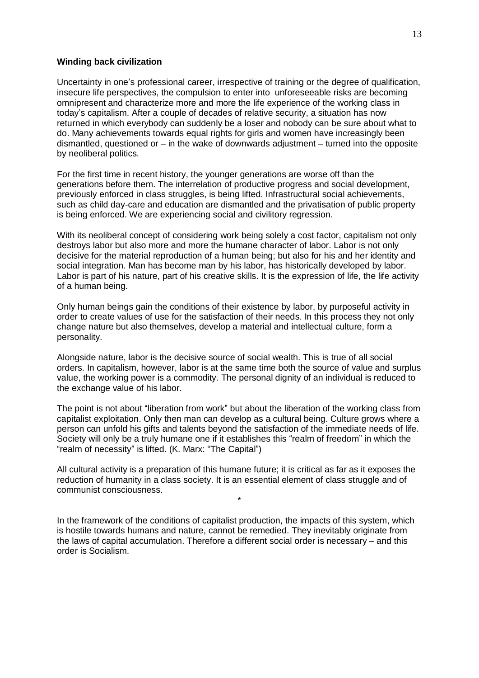### **Winding back civilization**

Uncertainty in one's professional career, irrespective of training or the degree of qualification, insecure life perspectives, the compulsion to enter into unforeseeable risks are becoming omnipresent and characterize more and more the life experience of the working class in today's capitalism. After a couple of decades of relative security, a situation has now returned in which everybody can suddenly be a loser and nobody can be sure about what to do. Many achievements towards equal rights for girls and women have increasingly been dismantled, questioned or  $-\dot{m}$  the wake of downwards adjustment  $-\dot{m}$  turned into the opposite by neoliberal politics.

For the first time in recent history, the younger generations are worse off than the generations before them. The interrelation of productive progress and social development, previously enforced in class struggles, is being lifted. Infrastructural social achievements, such as child day-care and education are dismantled and the privatisation of public property is being enforced. We are experiencing social and civilitory regression.

With its neoliberal concept of considering work being solely a cost factor, capitalism not only destroys labor but also more and more the humane character of labor. Labor is not only decisive for the material reproduction of a human being; but also for his and her identity and social integration. Man has become man by his labor, has historically developed by labor. Labor is part of his nature, part of his creative skills. It is the expression of life, the life activity of a human being.

Only human beings gain the conditions of their existence by labor, by purposeful activity in order to create values of use for the satisfaction of their needs. In this process they not only change nature but also themselves, develop a material and intellectual culture, form a personality.

Alongside nature, labor is the decisive source of social wealth. This is true of all social orders. In capitalism, however, labor is at the same time both the source of value and surplus value, the working power is a commodity. The personal dignity of an individual is reduced to the exchange value of his labor.

The point is not about "liberation from work" but about the liberation of the working class from capitalist exploitation. Only then man can develop as a cultural being. Culture grows where a person can unfold his gifts and talents beyond the satisfaction of the immediate needs of life. Society will only be a truly humane one if it establishes this "realm of freedom" in which the "realm of necessity" is lifted. (K. Marx: "The Capital")

All cultural activity is a preparation of this humane future; it is critical as far as it exposes the reduction of humanity in a class society. It is an essential element of class struggle and of communist consciousness.

\*

In the framework of the conditions of capitalist production, the impacts of this system, which is hostile towards humans and nature, cannot be remedied. They inevitably originate from the laws of capital accumulation. Therefore a different social order is necessary  $-$  and this order is Socialism.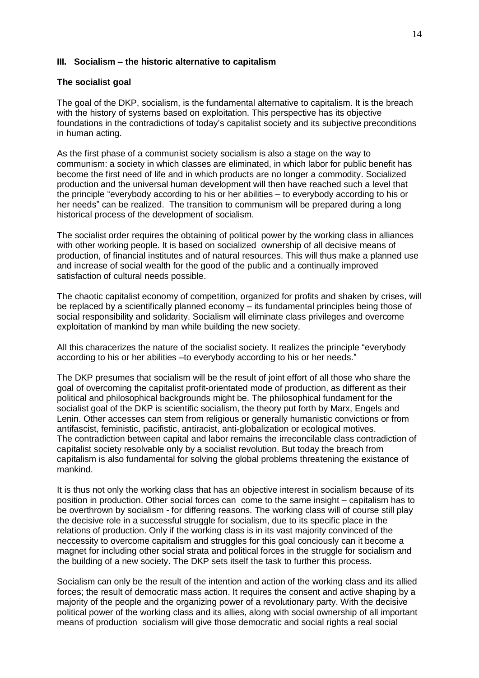### **III.** Socialism – the historic alternative to capitalism

### **The socialist goal**

The goal of the DKP, socialism, is the fundamental alternative to capitalism. It is the breach with the history of systems based on exploitation. This perspective has its objective foundations in the contradictions of today's capitalist society and its subjective preconditions in human acting.

As the first phase of a communist society socialism is also a stage on the way to communism: a society in which classes are eliminated, in which labor for public benefit has become the first need of life and in which products are no longer a commodity. Socialized production and the universal human development will then have reached such a level that the principle "everybody according to his or her abilities  $-$  to everybody according to his or her needs" can be realized. The transition to communism will be prepared during a long historical process of the development of socialism.

The socialist order requires the obtaining of political power by the working class in alliances with other working people. It is based on socialized ownership of all decisive means of production, of financial institutes and of natural resources. This will thus make a planned use and increase of social wealth for the good of the public and a continually improved satisfaction of cultural needs possible.

The chaotic capitalist economy of competition, organized for profits and shaken by crises, will be replaced by a scientifically planned economy  $-\overline{}$  its fundamental principles being those of social responsibility and solidarity. Socialism will eliminate class privileges and overcome exploitation of mankind by man while building the new society.

All this characerizes the nature of the socialist society. It realizes the principle "everybody according to his or her abilities -to everybody according to his or her needs."

The DKP presumes that socialism will be the result of joint effort of all those who share the goal of overcoming the capitalist profit-orientated mode of production, as different as their political and philosophical backgrounds might be. The philosophical fundament for the socialist goal of the DKP is scientific socialism, the theory put forth by Marx, Engels and Lenin. Other accesses can stem from religious or generally humanistic convictions or from antifascist, feministic, pacifistic, antiracist, anti-globalization or ecological motives. The contradiction between capital and labor remains the irreconcilable class contradiction of capitalist society resolvable only by a socialist revolution. But today the breach from capitalism is also fundamental for solving the global problems threatening the existance of mankind.

It is thus not only the working class that has an objective interest in socialism because of its position in production. Other social forces can come to the same insight – capitalism has to be overthrown by socialism - for differing reasons. The working class will of course still play the decisive role in a successful struggle for socialism, due to its specific place in the relations of production. Only if the working class is in its vast majority convinced of the neccessity to overcome capitalism and struggles for this goal conciously can it become a magnet for including other social strata and political forces in the struggle for socialism and the building of a new society. The DKP sets itself the task to further this process.

Socialism can only be the result of the intention and action of the working class and its allied forces; the result of democratic mass action. It requires the consent and active shaping by a majority of the people and the organizing power of a revolutionary party. With the decisive political power of the working class and its allies, along with social ownership of all important means of production socialism will give those democratic and social rights a real social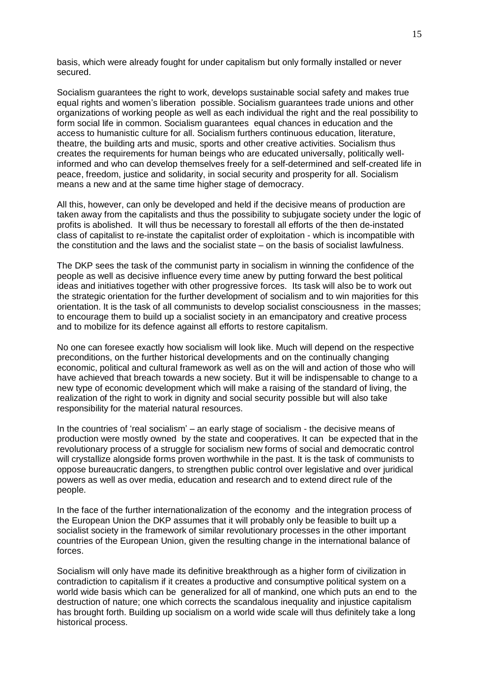basis, which were already fought for under capitalism but only formally installed or never secured.

Socialism guarantees the right to work, develops sustainable social safety and makes true equal rights and women's liberation possible. Socialism guarantees trade unions and other organizations of working people as well as each individual the right and the real possibility to form social life in common. Socialism guarantees equal chances in education and the access to humanistic culture for all. Socialism furthers continuous education, literature, theatre, the building arts and music, sports and other creative activities. Socialism thus creates the requirements for human beings who are educated universally, politically wellinformed and who can develop themselves freely for a self-determined and self-created life in peace, freedom, justice and solidarity, in social security and prosperity for all. Socialism means a new and at the same time higher stage of democracy.

All this, however, can only be developed and held if the decisive means of production are taken away from the capitalists and thus the possibility to subjugate society under the logic of profits is abolished. It will thus be necessary to forestall all efforts of the then de-instated class of capitalist to re-instate the capitalist order of exploitation - which is incompatible with the constitution and the laws and the socialist state  $-\,$  on the basis of socialist lawfulness.

The DKP sees the task of the communist party in socialism in winning the confidence of the people as well as decisive influence every time anew by putting forward the best political ideas and initiatives together with other progressive forces. Its task will also be to work out the strategic orientation for the further development of socialism and to win majorities for this orientation. It is the task of all communists to develop socialist consciousness in the masses; to encourage them to build up a socialist society in an emancipatory and creative process and to mobilize for its defence against all efforts to restore capitalism.

No one can foresee exactly how socialism will look like. Much will depend on the respective preconditions, on the further historical developments and on the continually changing economic, political and cultural framework as well as on the will and action of those who will have achieved that breach towards a new society. But it will be indispensable to change to a new type of economic development which will make a raising of the standard of living, the realization of the right to work in dignity and social security possible but will also take responsibility for the material natural resources.

In the countries of 'real socialism'  $-$  an early stage of socialism - the decisive means of production were mostly owned by the state and cooperatives. It can be expected that in the revolutionary process of a struggle for socialism new forms of social and democratic control will crystallize alongside forms proven worthwhile in the past. It is the task of communists to oppose bureaucratic dangers, to strengthen public control over legislative and over juridical powers as well as over media, education and research and to extend direct rule of the people.

In the face of the further internationalization of the economy and the integration process of the European Union the DKP assumes that it will probably only be feasible to built up a socialist society in the framework of similar revolutionary processes in the other important countries of the European Union, given the resulting change in the international balance of forces.

Socialism will only have made its definitive breakthrough as a higher form of civilization in contradiction to capitalism if it creates a productive and consumptive political system on a world wide basis which can be generalized for all of mankind, one which puts an end to the destruction of nature; one which corrects the scandalous inequality and injustice capitalism has brought forth. Building up socialism on a world wide scale will thus definitely take a long historical process.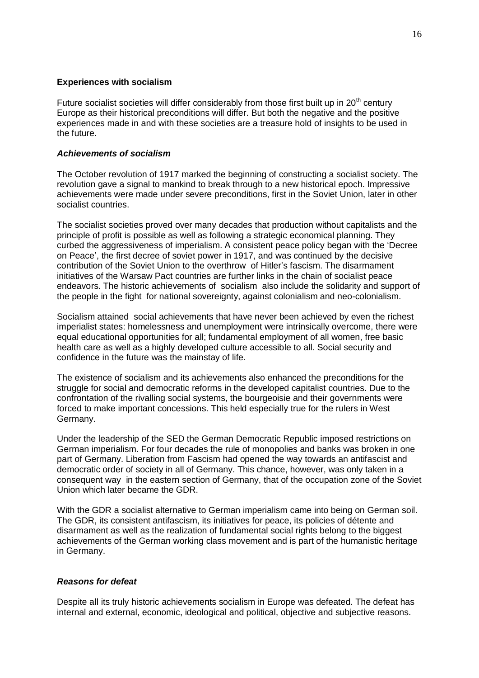### **Experiences with socialism**

Future socialist societies will differ considerably from those first built up in  $20<sup>th</sup>$  century Europe as their historical preconditions will differ. But both the negative and the positive experiences made in and with these societies are a treasure hold of insights to be used in the future.

### *Achievements of socialism*

The October revolution of 1917 marked the beginning of constructing a socialist society. The revolution gave a signal to mankind to break through to a new historical epoch. Impressive achievements were made under severe preconditions, first in the Soviet Union, later in other socialist countries.

The socialist societies proved over many decades that production without capitalists and the principle of profit is possible as well as following a strategic economical planning. They curbed the aggressiveness of imperialism. A consistent peace policy began with the 'Decree on Peace', the first decree of soviet power in 1917, and was continued by the decisive contribution of the Soviet Union to the overthrow of Hitler's fascism. The disarmament initiatives of the Warsaw Pact countries are further links in the chain of socialist peace endeavors. The historic achievements of socialism also include the solidarity and support of the people in the fight for national sovereignty, against colonialism and neo-colonialism.

Socialism attained social achievements that have never been achieved by even the richest imperialist states: homelessness and unemployment were intrinsically overcome, there were equal educational opportunities for all; fundamental employment of all women, free basic health care as well as a highly developed culture accessible to all. Social security and confidence in the future was the mainstay of life.

The existence of socialism and its achievements also enhanced the preconditions for the struggle for social and democratic reforms in the developed capitalist countries. Due to the confrontation of the rivalling social systems, the bourgeoisie and their governments were forced to make important concessions. This held especially true for the rulers in West Germany.

Under the leadership of the SED the German Democratic Republic imposed restrictions on German imperialism. For four decades the rule of monopolies and banks was broken in one part of Germany. Liberation from Fascism had opened the way towards an antifascist and democratic order of society in all of Germany. This chance, however, was only taken in a consequent way in the eastern section of Germany, that of the occupation zone of the Soviet Union which later became the GDR.

With the GDR a socialist alternative to German imperialism came into being on German soil. The GDR, its consistent antifascism, its initiatives for peace, its policies of détente and disarmament as well as the realization of fundamental social rights belong to the biggest achievements of the German working class movement and is part of the humanistic heritage in Germany.

## *Reasons for defeat*

Despite all its truly historic achievements socialism in Europe was defeated. The defeat has internal and external, economic, ideological and political, objective and subjective reasons.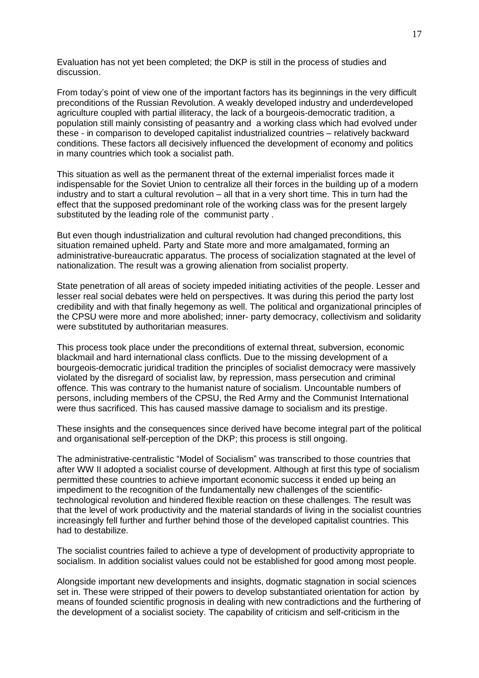Evaluation has not yet been completed; the DKP is still in the process of studies and discussion.

From today's point of view one of the important factors has its beginnings in the very difficult preconditions of the Russian Revolution. A weakly developed industry and underdeveloped agriculture coupled with partial illiteracy, the lack of a bourgeois-democratic tradition, a population still mainly consisting of peasantry and a working class which had evolved under these - in comparison to developed capitalist industrialized countries - relatively backward conditions. These factors all decisively influenced the development of economy and politics in many countries which took a socialist path.

This situation as well as the permanent threat of the external imperialist forces made it indispensable for the Soviet Union to centralize all their forces in the building up of a modern industry and to start a cultural revolution  $-$  all that in a very short time. This in turn had the effect that the supposed predominant role of the working class was for the present largely substituted by the leading role of the communist party .

But even though industrialization and cultural revolution had changed preconditions, this situation remained upheld. Party and State more and more amalgamated, forming an administrative-bureaucratic apparatus. The process of socialization stagnated at the level of nationalization. The result was a growing alienation from socialist property.

State penetration of all areas of society impeded initiating activities of the people. Lesser and lesser real social debates were held on perspectives. It was during this period the party lost credibility and with that finally hegemony as well. The political and organizational principles of the CPSU were more and more abolished; inner- party democracy, collectivism and solidarity were substituted by authoritarian measures.

This process took place under the preconditions of external threat, subversion, economic blackmail and hard international class conflicts. Due to the missing development of a bourgeois-democratic juridical tradition the principles of socialist democracy were massively violated by the disregard of socialist law, by repression, mass persecution and criminal offence. This was contrary to the humanist nature of socialism. Uncountable numbers of persons, including members of the CPSU, the Red Army and the Communist International were thus sacrificed. This has caused massive damage to socialism and its prestige.

These insights and the consequences since derived have become integral part of the political and organisational self-perception of the DKP; this process is still ongoing.

The administrative-centralistic "Model of Socialism" was transcribed to those countries that after WW II adopted a socialist course of development. Although at first this type of socialism permitted these countries to achieve important economic success it ended up being an impediment to the recognition of the fundamentally new challenges of the scientifictechnological revolution and hindered flexible reaction on these challenges. The result was that the level of work productivity and the material standards of living in the socialist countries increasingly fell further and further behind those of the developed capitalist countries. This had to destabilize.

The socialist countries failed to achieve a type of development of productivity appropriate to socialism. In addition socialist values could not be established for good among most people.

Alongside important new developments and insights, dogmatic stagnation in social sciences set in. These were stripped of their powers to develop substantiated orientation for action by means of founded scientific prognosis in dealing with new contradictions and the furthering of the development of a socialist society. The capability of criticism and self-criticism in the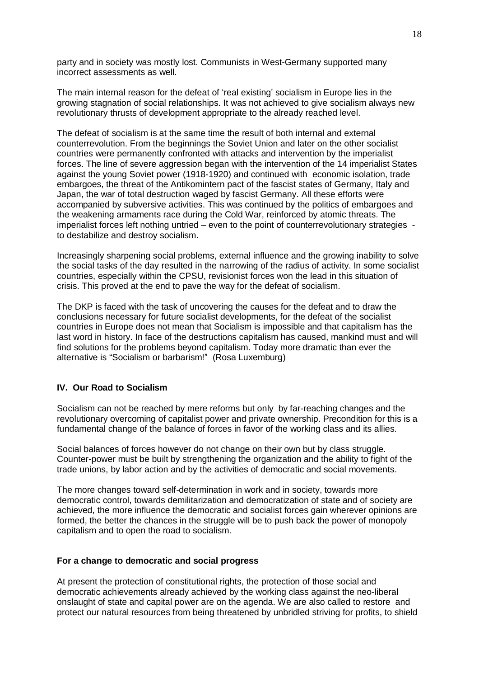party and in society was mostly lost. Communists in West-Germany supported many incorrect assessments as well.

The main internal reason for the defeat of 'real existing' socialism in Europe lies in the growing stagnation of social relationships. It was not achieved to give socialism always new revolutionary thrusts of development appropriate to the already reached level.

The defeat of socialism is at the same time the result of both internal and external counterrevolution. From the beginnings the Soviet Union and later on the other socialist countries were permanently confronted with attacks and intervention by the imperialist forces. The line of severe aggression began with the intervention of the 14 imperialist States against the young Soviet power (1918-1920) and continued with economic isolation, trade embargoes, the threat of the Antikomintern pact of the fascist states of Germany, Italy and Japan, the war of total destruction waged by fascist Germany. All these efforts were accompanied by subversive activities. This was continued by the politics of embargoes and the weakening armaments race during the Cold War, reinforced by atomic threats. The imperialist forces left nothing untried  $-\overline{}$  even to the point of counterrevolutionary strategies to destabilize and destroy socialism.

Increasingly sharpening social problems, external influence and the growing inability to solve the social tasks of the day resulted in the narrowing of the radius of activity. In some socialist countries, especially within the CPSU, revisionist forces won the lead in this situation of crisis. This proved at the end to pave the way for the defeat of socialism.

The DKP is faced with the task of uncovering the causes for the defeat and to draw the conclusions necessary for future socialist developments, for the defeat of the socialist countries in Europe does not mean that Socialism is impossible and that capitalism has the last word in history. In face of the destructions capitalism has caused, mankind must and will find solutions for the problems beyond capitalism. Today more dramatic than ever the alternative is "Socialism or barbarism!" (Rosa Luxemburg)

## **IV. Our Road to Socialism**

Socialism can not be reached by mere reforms but only by far-reaching changes and the revolutionary overcoming of capitalist power and private ownership. Precondition for this is a fundamental change of the balance of forces in favor of the working class and its allies.

Social balances of forces however do not change on their own but by class struggle. Counter-power must be built by strengthening the organization and the ability to fight of the trade unions, by labor action and by the activities of democratic and social movements.

The more changes toward self-determination in work and in society, towards more democratic control, towards demilitarization and democratization of state and of society are achieved, the more influence the democratic and socialist forces gain wherever opinions are formed, the better the chances in the struggle will be to push back the power of monopoly capitalism and to open the road to socialism.

### **For a change to democratic and social progress**

At present the protection of constitutional rights, the protection of those social and democratic achievements already achieved by the working class against the neo-liberal onslaught of state and capital power are on the agenda. We are also called to restore and protect our natural resources from being threatened by unbridled striving for profits, to shield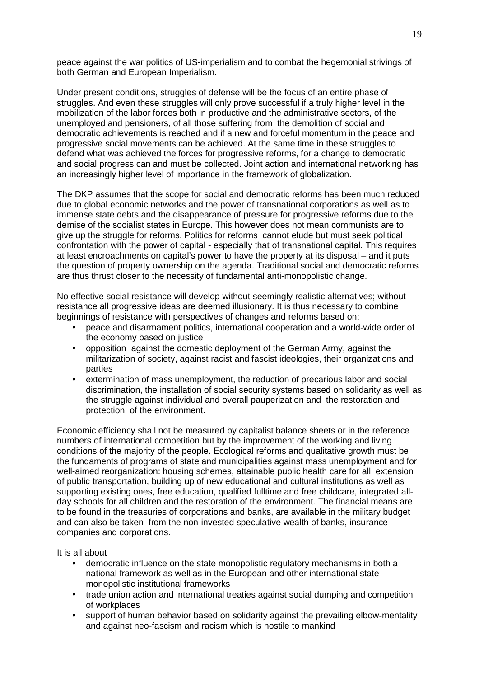peace against the war politics of US-imperialism and to combat the hegemonial strivings of both German and European Imperialism.

Under present conditions, struggles of defense will be the focus of an entire phase of struggles. And even these struggles will only prove successful if a truly higher level in the mobilization of the labor forces both in productive and the administrative sectors, of the unemployed and pensioners, of all those suffering from the demolition of social and democratic achievements is reached and if a new and forceful momentum in the peace and progressive social movements can be achieved. At the same time in these struggles to defend what was achieved the forces for progressive reforms, for a change to democratic and social progress can and must be collected. Joint action and international networking has an increasingly higher level of importance in the framework of globalization.

The DKP assumes that the scope for social and democratic reforms has been much reduced due to global economic networks and the power of transnational corporations as well as to immense state debts and the disappearance of pressure for progressive reforms due to the demise of the socialist states in Europe. This however does not mean communists are to give up the struggle for reforms. Politics for reforms cannot elude but must seek political confrontation with the power of capital - especially that of transnational capital. This requires at least encroachments on capital's power to have the property at its disposal – and it puts the question of property ownership on the agenda. Traditional social and democratic reforms are thus thrust closer to the necessity of fundamental anti-monopolistic change.

No effective social resistance will develop without seemingly realistic alternatives; without resistance all progressive ideas are deemed illusionary. It is thus necessary to combine beginnings of resistance with perspectives of changes and reforms based on:

- peace and disarmament politics, international cooperation and a world-wide order of the economy based on justice
- opposition against the domestic deployment of the German Army, against the militarization of society, against racist and fascist ideologies, their organizations and parties
- extermination of mass unemployment, the reduction of precarious labor and social discrimination, the installation of social security systems based on solidarity as well as the struggle against individual and overall pauperization and the restoration and protection of the environment.

Economic efficiency shall not be measured by capitalist balance sheets or in the reference numbers of international competition but by the improvement of the working and living conditions of the majority of the people. Ecological reforms and qualitative growth must be the fundaments of programs of state and municipalities against mass unemployment and for well-aimed reorganization: housing schemes, attainable public health care for all, extension of public transportation, building up of new educational and cultural institutions as well as supporting existing ones, free education, qualified fulltime and free childcare, integrated allday schools for all children and the restoration of the environment. The financial means are to be found in the treasuries of corporations and banks, are available in the military budget and can also be taken from the non-invested speculative wealth of banks, insurance companies and corporations.

It is all about

- democratic influence on the state monopolistic regulatory mechanisms in both a national framework as well as in the European and other international statemonopolistic institutional frameworks
- trade union action and international treaties against social dumping and competition of workplaces
- support of human behavior based on solidarity against the prevailing elbow-mentality and against neo-fascism and racism which is hostile to mankind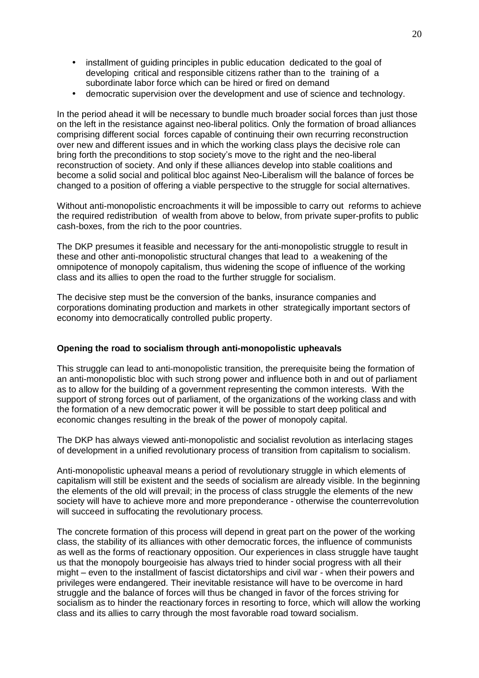- installment of quiding principles in public education dedicated to the goal of developing critical and responsible citizens rather than to the training of a subordinate labor force which can be hired or fired on demand
- democratic supervision over the development and use of science and technology.

In the period ahead it will be necessary to bundle much broader social forces than just those on the left in the resistance against neo-liberal politics. Only the formation of broad alliances comprising different social forces capable of continuing their own recurring reconstruction over new and different issues and in which the working class plays the decisive role can bring forth the preconditions to stop society's move to the right and the neo-liberal reconstruction of society. And only if these alliances develop into stable coalitions and become a solid social and political bloc against Neo-Liberalism will the balance of forces be changed to a position of offering a viable perspective to the struggle for social alternatives.

Without anti-monopolistic encroachments it will be impossible to carry out reforms to achieve the required redistribution of wealth from above to below, from private super-profits to public cash-boxes, from the rich to the poor countries.

The DKP presumes it feasible and necessary for the anti-monopolistic struggle to result in these and other anti-monopolistic structural changes that lead to a weakening of the omnipotence of monopoly capitalism, thus widening the scope of influence of the working class and its allies to open the road to the further struggle for socialism.

The decisive step must be the conversion of the banks, insurance companies and corporations dominating production and markets in other strategically important sectors of economy into democratically controlled public property.

## **Opening the road to socialism through anti-monopolistic upheavals**

This struggle can lead to anti-monopolistic transition, the prerequisite being the formation of an anti-monopolistic bloc with such strong power and influence both in and out of parliament as to allow for the building of a government representing the common interests. With the support of strong forces out of parliament, of the organizations of the working class and with the formation of a new democratic power it will be possible to start deep political and economic changes resulting in the break of the power of monopoly capital.

The DKP has always viewed anti-monopolistic and socialist revolution as interlacing stages of development in a unified revolutionary process of transition from capitalism to socialism.

Anti-monopolistic upheaval means a period of revolutionary struggle in which elements of capitalism will still be existent and the seeds of socialism are already visible. In the beginning the elements of the old will prevail; in the process of class struggle the elements of the new society will have to achieve more and more preponderance - otherwise the counterrevolution will succeed in suffocating the revolutionary process.

The concrete formation of this process will depend in great part on the power of the working class, the stability of its alliances with other democratic forces, the influence of communists as well as the forms of reactionary opposition. Our experiences in class struggle have taught us that the monopoly bourgeoisie has always tried to hinder social progress with all their might – even to the installment of fascist dictatorships and civil war - when their powers and privileges were endangered. Their inevitable resistance will have to be overcome in hard struggle and the balance of forces will thus be changed in favor of the forces striving for socialism as to hinder the reactionary forces in resorting to force, which will allow the working class and its allies to carry through the most favorable road toward socialism.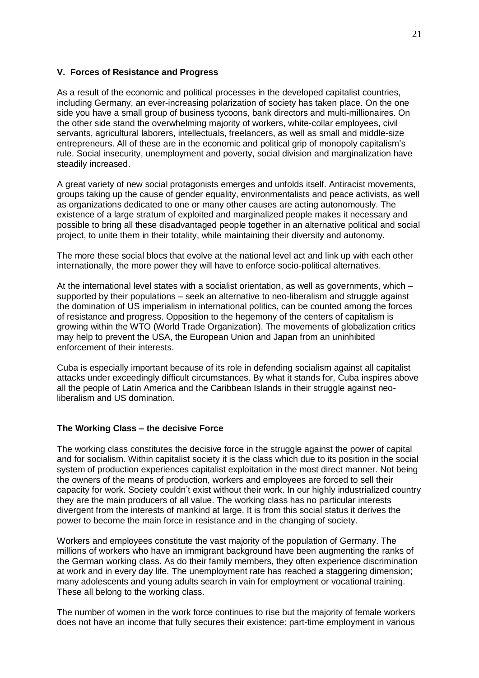### **V. Forces of Resistance and Progress**

As a result of the economic and political processes in the developed capitalist countries, including Germany, an ever-increasing polarization of society has taken place. On the one side you have a small group of business tycoons, bank directors and multi-millionaires. On the other side stand the overwhelming majority of workers, white-collar employees, civil servants, agricultural laborers, intellectuals, freelancers, as well as small and middle-size entrepreneurs. All of these are in the economic and political grip of monopoly capitalism's rule. Social insecurity, unemployment and poverty, social division and marginalization have steadily increased.

A great variety of new social protagonists emerges and unfolds itself. Antiracist movements, groups taking up the cause of gender equality, environmentalists and peace activists, as well as organizations dedicated to one or many other causes are acting autonomously. The existence of a large stratum of exploited and marginalized people makes it necessary and possible to bring all these disadvantaged people together in an alternative political and social project, to unite them in their totality, while maintaining their diversity and autonomy.

The more these social blocs that evolve at the national level act and link up with each other internationally, the more power they will have to enforce socio-political alternatives.

At the international level states with a socialist orientation, as well as governments, which  $$ supported by their populations  $-$  seek an alternative to neo-liberalism and struggle against the domination of US imperialism in international politics, can be counted among the forces of resistance and progress. Opposition to the hegemony of the centers of capitalism is growing within the WTO (World Trade Organization). The movements of globalization critics may help to prevent the USA, the European Union and Japan from an uninhibited enforcement of their interests.

Cuba is especially important because of its role in defending socialism against all capitalist attacks under exceedingly difficult circumstances. By what it stands for, Cuba inspires above all the people of Latin America and the Caribbean Islands in their struggle against neoliberalism and US domination.

### **The Working Class - the decisive Force**

The working class constitutes the decisive force in the struggle against the power of capital and for socialism. Within capitalist society it is the class which due to its position in the social system of production experiences capitalist exploitation in the most direct manner. Not being the owners of the means of production, workers and employees are forced to sell their capacity for work. Society couldn't exist without their work. In our highly industrialized country they are the main producers of all value. The working class has no particular interests divergent from the interests of mankind at large. It is from this social status it derives the power to become the main force in resistance and in the changing of society.

Workers and employees constitute the vast majority of the population of Germany. The millions of workers who have an immigrant background have been augmenting the ranks of the German working class. As do their family members, they often experience discrimination at work and in every day life. The unemployment rate has reached a staggering dimension; many adolescents and young adults search in vain for employment or vocational training. These all belong to the working class.

The number of women in the work force continues to rise but the majority of female workers does not have an income that fully secures their existence: part-time employment in various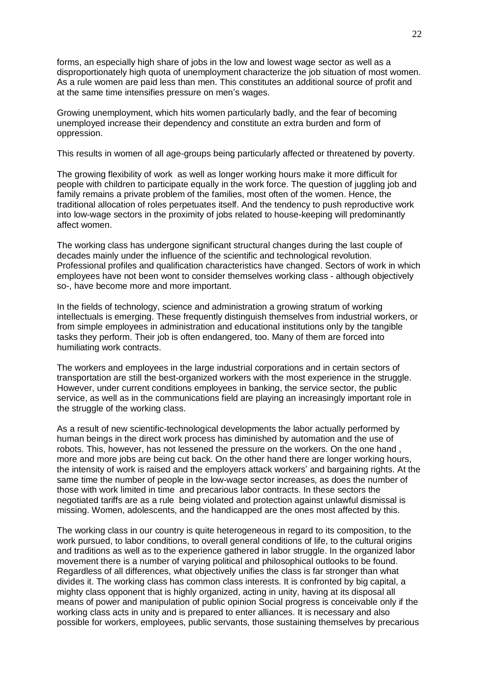forms, an especially high share of jobs in the low and lowest wage sector as well as a disproportionately high quota of unemployment characterize the job situation of most women. As a rule women are paid less than men. This constitutes an additional source of profit and at the same time intensifies pressure on men's wages.

Growing unemployment, which hits women particularly badly, and the fear of becoming unemployed increase their dependency and constitute an extra burden and form of oppression.

This results in women of all age-groups being particularly affected or threatened by poverty.

The growing flexibility of work as well as longer working hours make it more difficult for people with children to participate equally in the work force. The question of juggling job and family remains a private problem of the families, most often of the women. Hence, the traditional allocation of roles perpetuates itself. And the tendency to push reproductive work into low-wage sectors in the proximity of jobs related to house-keeping will predominantly affect women.

The working class has undergone significant structural changes during the last couple of decades mainly under the influence of the scientific and technological revolution. Professional profiles and qualification characteristics have changed. Sectors of work in which employees have not been wont to consider themselves working class - although objectively so-, have become more and more important.

In the fields of technology, science and administration a growing stratum of working intellectuals is emerging. These frequently distinguish themselves from industrial workers, or from simple employees in administration and educational institutions only by the tangible tasks they perform. Their job is often endangered, too. Many of them are forced into humiliating work contracts.

The workers and employees in the large industrial corporations and in certain sectors of transportation are still the best-organized workers with the most experience in the struggle. However, under current conditions employees in banking, the service sector, the public service, as well as in the communications field are playing an increasingly important role in the struggle of the working class.

As a result of new scientific-technological developments the labor actually performed by human beings in the direct work process has diminished by automation and the use of robots. This, however, has not lessened the pressure on the workers. On the one hand , more and more jobs are being cut back. On the other hand there are longer working hours, the intensity of work is raised and the employers attack workers' and bargaining rights. At the same time the number of people in the low-wage sector increases, as does the number of those with work limited in time and precarious labor contracts. In these sectors the negotiated tariffs are as a rule being violated and protection against unlawful dismissal is missing. Women, adolescents, and the handicapped are the ones most affected by this.

The working class in our country is quite heterogeneous in regard to its composition, to the work pursued, to labor conditions, to overall general conditions of life, to the cultural origins and traditions as well as to the experience gathered in labor struggle. In the organized labor movement there is a number of varying political and philosophical outlooks to be found. Regardless of all differences, what objectively unifies the class is far stronger than what divides it. The working class has common class interests. It is confronted by big capital, a mighty class opponent that is highly organized, acting in unity, having at its disposal all means of power and manipulation of public opinion Social progress is conceivable only if the working class acts in unity and is prepared to enter alliances. It is necessary and also possible for workers, employees, public servants, those sustaining themselves by precarious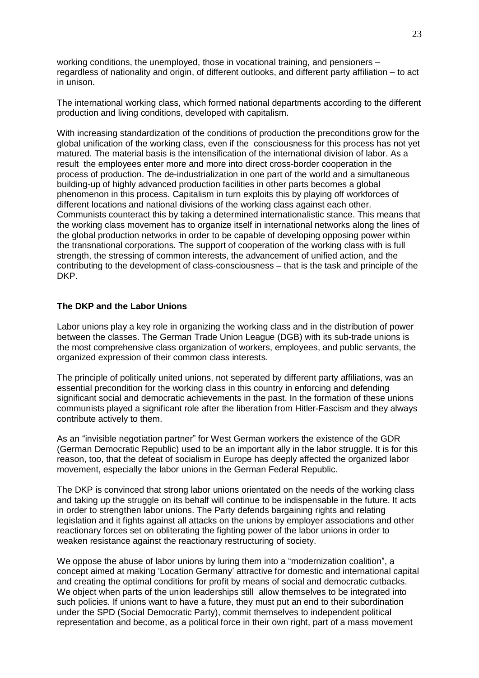working conditions, the unemployed, those in vocational training, and pensioners  $$ regardless of nationality and origin, of different outlooks, and different party affiliation  $-$  to act in unison.

The international working class, which formed national departments according to the different production and living conditions, developed with capitalism.

With increasing standardization of the conditions of production the preconditions grow for the global unification of the working class, even if the consciousness for this process has not yet matured. The material basis is the intensification of the international division of labor. As a result the employees enter more and more into direct cross-border cooperation in the process of production. The de-industrialization in one part of the world and a simultaneous building-up of highly advanced production facilities in other parts becomes a global phenomenon in this process. Capitalism in turn exploits this by playing off workforces of different locations and national divisions of the working class against each other. Communists counteract this by taking a determined internationalistic stance. This means that the working class movement has to organize itself in international networks along the lines of the global production networks in order to be capable of developing opposing power within the transnational corporations. The support of cooperation of the working class with is full strength, the stressing of common interests, the advancement of unified action, and the contributing to the development of class-consciousness – that is the task and principle of the DKP.

## **The DKP and the Labor Unions**

Labor unions play a key role in organizing the working class and in the distribution of power between the classes. The German Trade Union League (DGB) with its sub-trade unions is the most comprehensive class organization of workers, employees, and public servants, the organized expression of their common class interests.

The principle of politically united unions, not seperated by different party affiliations, was an essential precondition for the working class in this country in enforcing and defending significant social and democratic achievements in the past. In the formation of these unions communists played a significant role after the liberation from Hitler-Fascism and they always contribute actively to them.

As an "invisible negotiation partner" for West German workers the existence of the GDR (German Democratic Republic) used to be an important ally in the labor struggle. It is for this reason, too, that the defeat of socialism in Europe has deeply affected the organized labor movement, especially the labor unions in the German Federal Republic.

The DKP is convinced that strong labor unions orientated on the needs of the working class and taking up the struggle on its behalf will continue to be indispensable in the future. It acts in order to strengthen labor unions. The Party defends bargaining rights and relating legislation and it fights against all attacks on the unions by employer associations and other reactionary forces set on obliterating the fighting power of the labor unions in order to weaken resistance against the reactionary restructuring of society.

We oppose the abuse of labor unions by luring them into a "modernization coalition", a concept aimed at making 'Location Germany' attractive for domestic and international capital and creating the optimal conditions for profit by means of social and democratic cutbacks. We object when parts of the union leaderships still allow themselves to be integrated into such policies. If unions want to have a future, they must put an end to their subordination under the SPD (Social Democratic Party), commit themselves to independent political representation and become, as a political force in their own right, part of a mass movement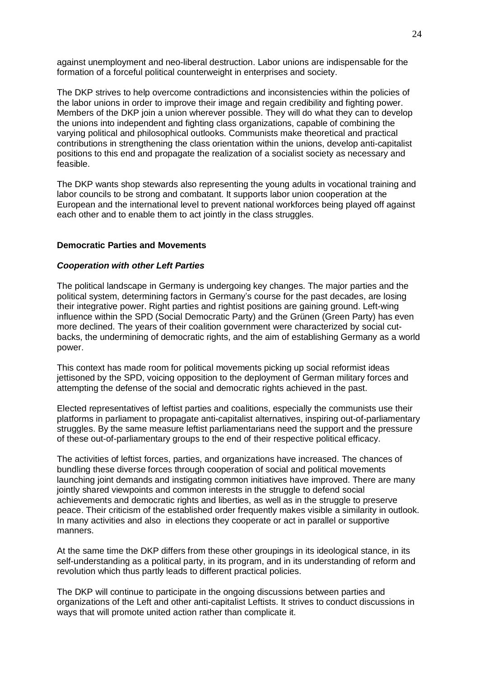against unemployment and neo-liberal destruction. Labor unions are indispensable for the formation of a forceful political counterweight in enterprises and society.

The DKP strives to help overcome contradictions and inconsistencies within the policies of the labor unions in order to improve their image and regain credibility and fighting power. Members of the DKP join a union wherever possible. They will do what they can to develop the unions into independent and fighting class organizations, capable of combining the varying political and philosophical outlooks. Communists make theoretical and practical contributions in strengthening the class orientation within the unions, develop anti-capitalist positions to this end and propagate the realization of a socialist society as necessary and feasible.

The DKP wants shop stewards also representing the young adults in vocational training and labor councils to be strong and combatant. It supports labor union cooperation at the European and the international level to prevent national workforces being played off against each other and to enable them to act jointly in the class struggles.

### **Democratic Parties and Movements**

### *Cooperation with other Left Parties*

The political landscape in Germany is undergoing key changes. The major parties and the political system, determining factors in Germany's course for the past decades, are losing their integrative power. Right parties and rightist positions are gaining ground. Left-wing influence within the SPD (Social Democratic Party) and the Grünen (Green Party) has even more declined. The years of their coalition government were characterized by social cutbacks, the undermining of democratic rights, and the aim of establishing Germany as a world power.

This context has made room for political movements picking up social reformist ideas jettisoned by the SPD, voicing opposition to the deployment of German military forces and attempting the defense of the social and democratic rights achieved in the past.

Elected representatives of leftist parties and coalitions, especially the communists use their platforms in parliament to propagate anti-capitalist alternatives, inspiring out-of-parliamentary struggles. By the same measure leftist parliamentarians need the support and the pressure of these out-of-parliamentary groups to the end of their respective political efficacy.

The activities of leftist forces, parties, and organizations have increased. The chances of bundling these diverse forces through cooperation of social and political movements launching joint demands and instigating common initiatives have improved. There are many jointly shared viewpoints and common interests in the struggle to defend social achievements and democratic rights and liberties, as well as in the struggle to preserve peace. Their criticism of the established order frequently makes visible a similarity in outlook. In many activities and also in elections they cooperate or act in parallel or supportive manners.

At the same time the DKP differs from these other groupings in its ideological stance, in its self-understanding as a political party, in its program, and in its understanding of reform and revolution which thus partly leads to different practical policies.

The DKP will continue to participate in the ongoing discussions between parties and organizations of the Left and other anti-capitalist Leftists. It strives to conduct discussions in ways that will promote united action rather than complicate it.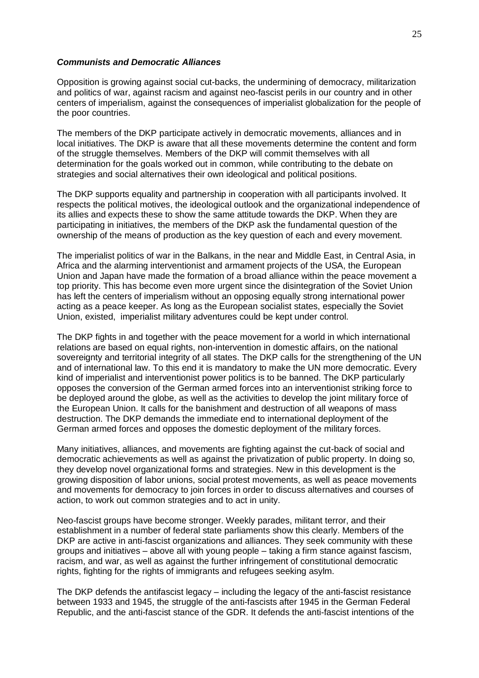#### *Communists and Democratic Alliances*

Opposition is growing against social cut-backs, the undermining of democracy, militarization and politics of war, against racism and against neo-fascist perils in our country and in other centers of imperialism, against the consequences of imperialist globalization for the people of the poor countries.

The members of the DKP participate actively in democratic movements, alliances and in local initiatives. The DKP is aware that all these movements determine the content and form of the struggle themselves. Members of the DKP will commit themselves with all determination for the goals worked out in common, while contributing to the debate on strategies and social alternatives their own ideological and political positions.

The DKP supports equality and partnership in cooperation with all participants involved. It respects the political motives, the ideological outlook and the organizational independence of its allies and expects these to show the same attitude towards the DKP. When they are participating in initiatives, the members of the DKP ask the fundamental question of the ownership of the means of production as the key question of each and every movement.

The imperialist politics of war in the Balkans, in the near and Middle East, in Central Asia, in Africa and the alarming interventionist and armament projects of the USA, the European Union and Japan have made the formation of a broad alliance within the peace movement a top priority. This has become even more urgent since the disintegration of the Soviet Union has left the centers of imperialism without an opposing equally strong international power acting as a peace keeper. As long as the European socialist states, especially the Soviet Union, existed, imperialist military adventures could be kept under control.

The DKP fights in and together with the peace movement for a world in which international relations are based on equal rights, non-intervention in domestic affairs, on the national sovereignty and territorial integrity of all states. The DKP calls for the strengthening of the UN and of international law. To this end it is mandatory to make the UN more democratic. Every kind of imperialist and interventionist power politics is to be banned. The DKP particularly opposes the conversion of the German armed forces into an interventionist striking force to be deployed around the globe, as well as the activities to develop the joint military force of the European Union. It calls for the banishment and destruction of all weapons of mass destruction. The DKP demands the immediate end to international deployment of the German armed forces and opposes the domestic deployment of the military forces.

Many initiatives, alliances, and movements are fighting against the cut-back of social and democratic achievements as well as against the privatization of public property. In doing so, they develop novel organizational forms and strategies. New in this development is the growing disposition of labor unions, social protest movements, as well as peace movements and movements for democracy to join forces in order to discuss alternatives and courses of action, to work out common strategies and to act in unity.

Neo-fascist groups have become stronger. Weekly parades, militant terror, and their establishment in a number of federal state parliaments show this clearly. Members of the DKP are active in anti-fascist organizations and alliances. They seek community with these groups and initiatives  $-\text{ above}$  all with young people  $-\text{ taking }$  a firm stance against fascism, racism, and war, as well as against the further infringement of constitutional democratic rights, fighting for the rights of immigrants and refugees seeking asylm.

The DKP defends the antifascist legacy  $-$  including the legacy of the anti-fascist resistance between 1933 and 1945, the struggle of the anti-fascists after 1945 in the German Federal Republic, and the anti-fascist stance of the GDR. It defends the anti-fascist intentions of the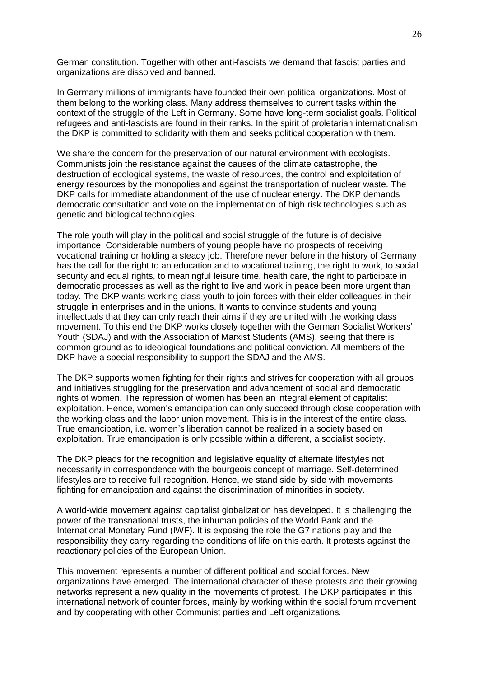German constitution. Together with other anti-fascists we demand that fascist parties and organizations are dissolved and banned.

In Germany millions of immigrants have founded their own political organizations. Most of them belong to the working class. Many address themselves to current tasks within the context of the struggle of the Left in Germany. Some have long-term socialist goals. Political refugees and anti-fascists are found in their ranks. In the spirit of proletarian internationalism the DKP is committed to solidarity with them and seeks political cooperation with them.

We share the concern for the preservation of our natural environment with ecologists. Communists join the resistance against the causes of the climate catastrophe, the destruction of ecological systems, the waste of resources, the control and exploitation of energy resources by the monopolies and against the transportation of nuclear waste. The DKP calls for immediate abandonment of the use of nuclear energy. The DKP demands democratic consultation and vote on the implementation of high risk technologies such as genetic and biological technologies.

The role youth will play in the political and social struggle of the future is of decisive importance. Considerable numbers of young people have no prospects of receiving vocational training or holding a steady job. Therefore never before in the history of Germany has the call for the right to an education and to vocational training, the right to work, to social security and equal rights, to meaningful leisure time, health care, the right to participate in democratic processes as well as the right to live and work in peace been more urgent than today. The DKP wants working class youth to join forces with their elder colleagues in their struggle in enterprises and in the unions. It wants to convince students and young intellectuals that they can only reach their aims if they are united with the working class movement. To this end the DKP works closely together with the German Socialist Workers' Youth (SDAJ) and with the Association of Marxist Students (AMS), seeing that there is common ground as to ideological foundations and political conviction. All members of the DKP have a special responsibility to support the SDAJ and the AMS.

The DKP supports women fighting for their rights and strives for cooperation with all groups and initiatives struggling for the preservation and advancement of social and democratic rights of women. The repression of women has been an integral element of capitalist exploitation. Hence, women's emancipation can only succeed through close cooperation with the working class and the labor union movement. This is in the interest of the entire class. True emancipation, i.e. women's liberation cannot be realized in a society based on exploitation. True emancipation is only possible within a different, a socialist society.

The DKP pleads for the recognition and legislative equality of alternate lifestyles not necessarily in correspondence with the bourgeois concept of marriage. Self-determined lifestyles are to receive full recognition. Hence, we stand side by side with movements fighting for emancipation and against the discrimination of minorities in society.

A world-wide movement against capitalist globalization has developed. It is challenging the power of the transnational trusts, the inhuman policies of the World Bank and the International Monetary Fund (IWF). It is exposing the role the G7 nations play and the responsibility they carry regarding the conditions of life on this earth. It protests against the reactionary policies of the European Union.

This movement represents a number of different political and social forces. New organizations have emerged. The international character of these protests and their growing networks represent a new quality in the movements of protest. The DKP participates in this international network of counter forces, mainly by working within the social forum movement and by cooperating with other Communist parties and Left organizations.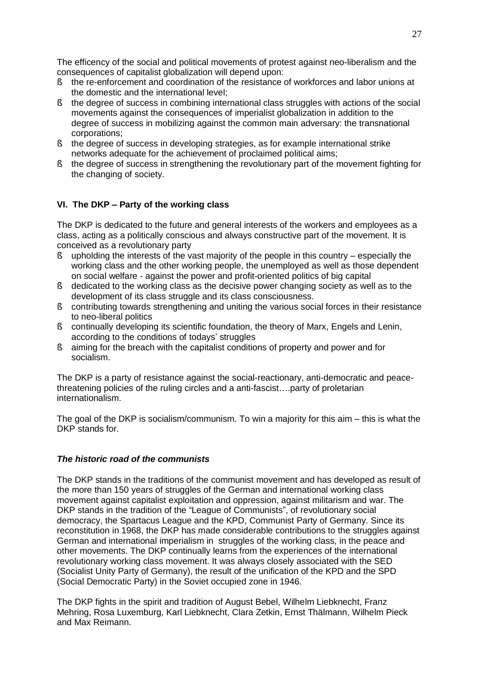The efficency of the social and political movements of protest against neo-liberalism and the consequences of capitalist globalization will depend upon:

- § the re-enforcement and coordination of the resistance of workforces and labor unions at the domestic and the international level;
- § the degree of success in combining international class struggles with actions of the social movements against the consequences of imperialist globalization in addition to the degree of success in mobilizing against the common main adversary: the transnational corporations;
- § the degree of success in developing strategies, as for example international strike networks adequate for the achievement of proclaimed political aims;
- § the degree of success in strengthening the revolutionary part of the movement fighting for the changing of society.

# **VI. The DKP ± Party of the working class**

The DKP is dedicated to the future and general interests of the workers and employees as a class, acting as a politically conscious and always constructive part of the movement. It is conceived as a revolutionary party

- $\S$  upholding the interests of the vast majority of the people in this country especially the working class and the other working people, the unemployed as well as those dependent on social welfare - against the power and profit-oriented politics of big capital
- § dedicated to the working class as the decisive power changing society as well as to the development of its class struggle and its class consciousness.
- § contributing towards strengthening and uniting the various social forces in their resistance to neo-liberal politics
- § continually developing its scientific foundation, the theory of Marx, Engels and Lenin, according to the conditions of todays' struggles
- § aiming for the breach with the capitalist conditions of property and power and for socialism.

The DKP is a party of resistance against the social-reactionary, anti-democratic and peacethreatening policies of the ruling circles and a anti-fascist....party of proletarian internationalism.

The goal of the DKP is socialism/communism. To win a majority for this aim  $-$  this is what the DKP stands for.

## *The historic road of the communists*

The DKP stands in the traditions of the communist movement and has developed as result of the more than 150 years of struggles of the German and international working class movement against capitalist exploitation and oppression, against militarism and war. The DKP stands in the tradition of the "League of Communists", of revolutionary social democracy, the Spartacus League and the KPD, Communist Party of Germany. Since its reconstitution in 1968, the DKP has made considerable contributions to the struggles against German and international imperialism in struggles of the working class, in the peace and other movements. The DKP continually learns from the experiences of the international revolutionary working class movement. It was always closely associated with the SED (Socialist Unity Party of Germany), the result of the unification of the KPD and the SPD (Social Democratic Party) in the Soviet occupied zone in 1946.

The DKP fights in the spirit and tradition of August Bebel, Wilhelm Liebknecht, Franz Mehring, Rosa Luxemburg, Karl Liebknecht, Clara Zetkin, Ernst Thälmann, Wilhelm Pieck and Max Reimann.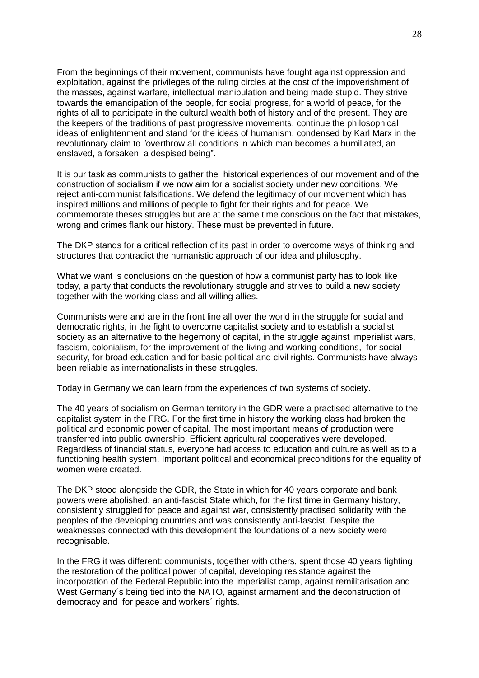From the beginnings of their movement, communists have fought against oppression and exploitation, against the privileges of the ruling circles at the cost of the impoverishment of the masses, against warfare, intellectual manipulation and being made stupid. They strive towards the emancipation of the people, for social progress, for a world of peace, for the rights of all to participate in the cultural wealth both of history and of the present. They are the keepers of the traditions of past progressive movements, continue the philosophical ideas of enlightenment and stand for the ideas of humanism, condensed by Karl Marx in the revolutionary claim to "overthrow all conditions in which man becomes a humiliated, an enslaved, a forsaken, a despised being".

It is our task as communists to gather the historical experiences of our movement and of the construction of socialism if we now aim for a socialist society under new conditions. We reject anti-communist falsifications. We defend the legitimacy of our movement which has inspired millions and millions of people to fight for their rights and for peace. We commemorate theses struggles but are at the same time conscious on the fact that mistakes, wrong and crimes flank our history. These must be prevented in future.

The DKP stands for a critical reflection of its past in order to overcome ways of thinking and structures that contradict the humanistic approach of our idea and philosophy.

What we want is conclusions on the question of how a communist party has to look like today, a party that conducts the revolutionary struggle and strives to build a new society together with the working class and all willing allies.

Communists were and are in the front line all over the world in the struggle for social and democratic rights, in the fight to overcome capitalist society and to establish a socialist society as an alternative to the hegemony of capital, in the struggle against imperialist wars, fascism, colonialism, for the improvement of the living and working conditions, for social security, for broad education and for basic political and civil rights. Communists have always been reliable as internationalists in these struggles.

Today in Germany we can learn from the experiences of two systems of society.

The 40 years of socialism on German territory in the GDR were a practised alternative to the capitalist system in the FRG. For the first time in history the working class had broken the political and economic power of capital. The most important means of production were transferred into public ownership. Efficient agricultural cooperatives were developed. Regardless of financial status, everyone had access to education and culture as well as to a functioning health system. Important political and economical preconditions for the equality of women were created.

The DKP stood alongside the GDR, the State in which for 40 years corporate and bank powers were abolished; an anti-fascist State which, for the first time in Germany history, consistently struggled for peace and against war, consistently practised solidarity with the peoples of the developing countries and was consistently anti-fascist. Despite the weaknesses connected with this development the foundations of a new society were recognisable.

In the FRG it was different: communists, together with others, spent those 40 years fighting the restoration of the political power of capital, developing resistance against the incorporation of the Federal Republic into the imperialist camp, against remilitarisation and West Germany´s being tied into the NATO, against armament and the deconstruction of democracy and for peace and workers´ rights.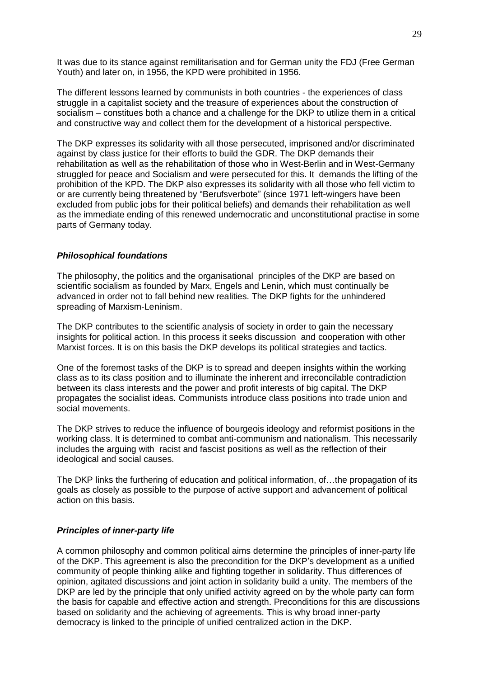It was due to its stance against remilitarisation and for German unity the FDJ (Free German Youth) and later on, in 1956, the KPD were prohibited in 1956.

The different lessons learned by communists in both countries - the experiences of class struggle in a capitalist society and the treasure of experiences about the construction of socialism  $-$  constitues both a chance and a challenge for the DKP to utilize them in a critical and constructive way and collect them for the development of a historical perspective.

The DKP expresses its solidarity with all those persecuted, imprisoned and/or discriminated against by class justice for their efforts to build the GDR. The DKP demands their rehabilitation as well as the rehabilitation of those who in West-Berlin and in West-Germany struggled for peace and Socialism and were persecuted for this. It demands the lifting of the prohibition of the KPD. The DKP also expresses its solidarity with all those who fell victim to or are currently being threatened by "Berufsverbote" (since 1971 left-wingers have been excluded from public jobs for their political beliefs) and demands their rehabilitation as well as the immediate ending of this renewed undemocratic and unconstitutional practise in some parts of Germany today.

### *Philosophical foundations*

The philosophy, the politics and the organisational principles of the DKP are based on scientific socialism as founded by Marx, Engels and Lenin, which must continually be advanced in order not to fall behind new realities. The DKP fights for the unhindered spreading of Marxism-Leninism.

The DKP contributes to the scientific analysis of society in order to gain the necessary insights for political action. In this process it seeks discussion and cooperation with other Marxist forces. It is on this basis the DKP develops its political strategies and tactics.

One of the foremost tasks of the DKP is to spread and deepen insights within the working class as to its class position and to illuminate the inherent and irreconcilable contradiction between its class interests and the power and profit interests of big capital. The DKP propagates the socialist ideas. Communists introduce class positions into trade union and social movements.

The DKP strives to reduce the influence of bourgeois ideology and reformist positions in the working class. It is determined to combat anti-communism and nationalism. This necessarily includes the arguing with racist and fascist positions as well as the reflection of their ideological and social causes.

The DKP links the furthering of education and political information, of...the propagation of its goals as closely as possible to the purpose of active support and advancement of political action on this basis.

### *Principles of inner-party life*

A common philosophy and common political aims determine the principles of inner-party life of the DKP. This agreement is also the precondition for the DKP's development as a unified community of people thinking alike and fighting together in solidarity. Thus differences of opinion, agitated discussions and joint action in solidarity build a unity. The members of the DKP are led by the principle that only unified activity agreed on by the whole party can form the basis for capable and effective action and strength. Preconditions for this are discussions based on solidarity and the achieving of agreements. This is why broad inner-party democracy is linked to the principle of unified centralized action in the DKP.